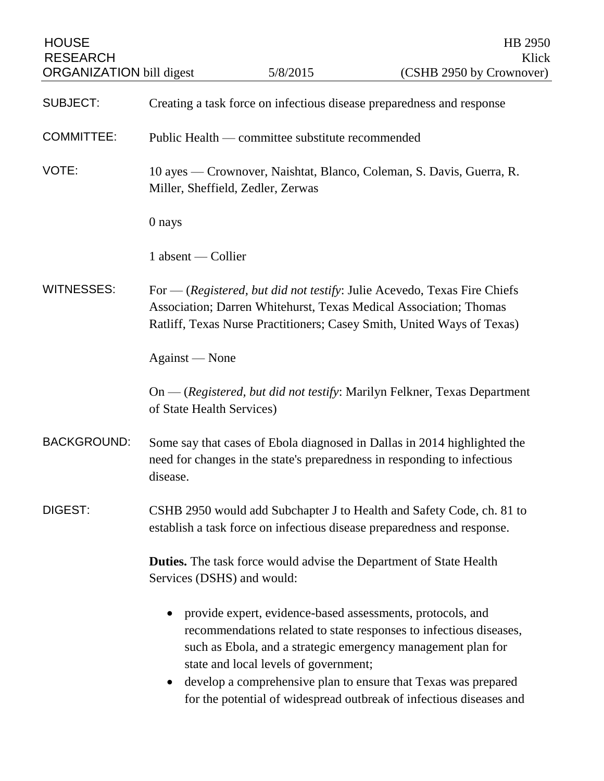| <b>HOUSE</b><br><b>RESEARCH</b> |                                                                                                                                                                                                                         | 5/8/2015                                                                                            | HB 2950<br>Klick                                                                                                                                                                                                                                                            |
|---------------------------------|-------------------------------------------------------------------------------------------------------------------------------------------------------------------------------------------------------------------------|-----------------------------------------------------------------------------------------------------|-----------------------------------------------------------------------------------------------------------------------------------------------------------------------------------------------------------------------------------------------------------------------------|
| <b>ORGANIZATION bill digest</b> |                                                                                                                                                                                                                         |                                                                                                     | (CSHB 2950 by Crownover)                                                                                                                                                                                                                                                    |
| <b>SUBJECT:</b>                 | Creating a task force on infectious disease preparedness and response                                                                                                                                                   |                                                                                                     |                                                                                                                                                                                                                                                                             |
| <b>COMMITTEE:</b>               | Public Health — committee substitute recommended                                                                                                                                                                        |                                                                                                     |                                                                                                                                                                                                                                                                             |
| VOTE:                           | 10 ayes — Crownover, Naishtat, Blanco, Coleman, S. Davis, Guerra, R.<br>Miller, Sheffield, Zedler, Zerwas                                                                                                               |                                                                                                     |                                                                                                                                                                                                                                                                             |
|                                 | 0 nays                                                                                                                                                                                                                  |                                                                                                     |                                                                                                                                                                                                                                                                             |
|                                 | $1$ absent — Collier                                                                                                                                                                                                    |                                                                                                     |                                                                                                                                                                                                                                                                             |
| <b>WITNESSES:</b>               | For — (Registered, but did not testify: Julie Acevedo, Texas Fire Chiefs<br>Association; Darren Whitehurst, Texas Medical Association; Thomas<br>Ratliff, Texas Nurse Practitioners; Casey Smith, United Ways of Texas) |                                                                                                     |                                                                                                                                                                                                                                                                             |
|                                 | Against — None                                                                                                                                                                                                          |                                                                                                     |                                                                                                                                                                                                                                                                             |
|                                 | On — (Registered, but did not testify: Marilyn Felkner, Texas Department<br>of State Health Services)                                                                                                                   |                                                                                                     |                                                                                                                                                                                                                                                                             |
| <b>BACKGROUND:</b>              | Some say that cases of Ebola diagnosed in Dallas in 2014 highlighted the<br>need for changes in the state's preparedness in responding to infectious<br>disease.                                                        |                                                                                                     |                                                                                                                                                                                                                                                                             |
| DIGEST:                         | CSHB 2950 would add Subchapter J to Health and Safety Code, ch. 81 to<br>establish a task force on infectious disease preparedness and response.                                                                        |                                                                                                     |                                                                                                                                                                                                                                                                             |
|                                 | <b>Duties.</b> The task force would advise the Department of State Health<br>Services (DSHS) and would:                                                                                                                 |                                                                                                     |                                                                                                                                                                                                                                                                             |
|                                 | $\bullet$                                                                                                                                                                                                               | provide expert, evidence-based assessments, protocols, and<br>state and local levels of government; | recommendations related to state responses to infectious diseases,<br>such as Ebola, and a strategic emergency management plan for<br>develop a comprehensive plan to ensure that Texas was prepared<br>for the potential of widespread outbreak of infectious diseases and |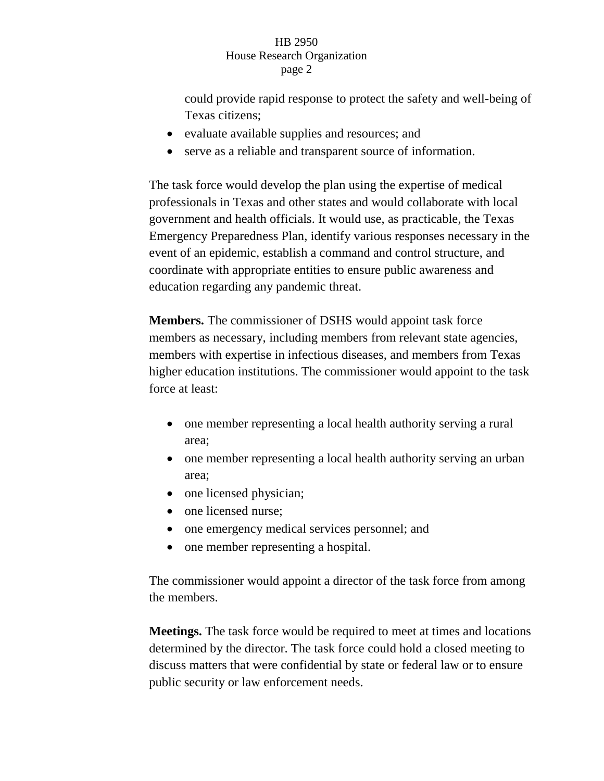## HB 2950 House Research Organization page 2

could provide rapid response to protect the safety and well-being of Texas citizens;

- evaluate available supplies and resources; and
- serve as a reliable and transparent source of information.

The task force would develop the plan using the expertise of medical professionals in Texas and other states and would collaborate with local government and health officials. It would use, as practicable, the Texas Emergency Preparedness Plan, identify various responses necessary in the event of an epidemic, establish a command and control structure, and coordinate with appropriate entities to ensure public awareness and education regarding any pandemic threat.

**Members.** The commissioner of DSHS would appoint task force members as necessary, including members from relevant state agencies, members with expertise in infectious diseases, and members from Texas higher education institutions. The commissioner would appoint to the task force at least:

- one member representing a local health authority serving a rural area;
- one member representing a local health authority serving an urban area;
- one licensed physician;
- one licensed nurse;
- one emergency medical services personnel; and
- one member representing a hospital.

The commissioner would appoint a director of the task force from among the members.

**Meetings.** The task force would be required to meet at times and locations determined by the director. The task force could hold a closed meeting to discuss matters that were confidential by state or federal law or to ensure public security or law enforcement needs.